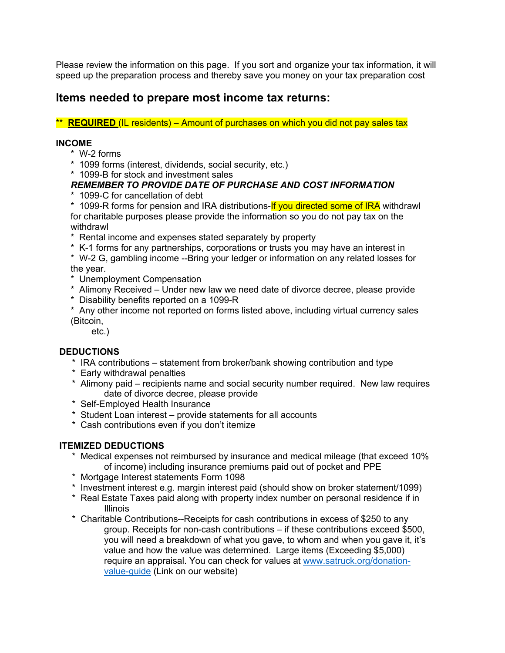Please review the information on this page. If you sort and organize your tax information, it will speed up the preparation process and thereby save you money on your tax preparation cost

# **Items needed to prepare most income tax returns:**

\*\* **REQUIRED** (IL residents) – Amount of purchases on which you did not pay sales tax

#### **INCOME**

- \* W-2 forms
- \* 1099 forms (interest, dividends, social security, etc.)

\* 1099-B for stock and investment sales

## *REMEMBER TO PROVIDE DATE OF PURCHASE AND COST INFORMATION*

\* 1099-C for cancellation of debt

\* 1099-R forms for pension and IRA distributions-If you directed some of IRA withdrawl for charitable purposes please provide the information so you do not pay tax on the withdrawl

- \* Rental income and expenses stated separately by property
- \* K-1 forms for any partnerships, corporations or trusts you may have an interest in
- \* W-2 G, gambling income --Bring your ledger or information on any related losses for the year.
- \* Unemployment Compensation
- \* Alimony Received Under new law we need date of divorce decree, please provide
- \* Disability benefits reported on a 1099-R
- \* Any other income not reported on forms listed above, including virtual currency sales (Bitcoin,

etc.)

## **DEDUCTIONS**

- \* IRA contributions statement from broker/bank showing contribution and type
- \* Early withdrawal penalties
- \* Alimony paid recipients name and social security number required. New law requires date of divorce decree, please provide
- \* Self-Employed Health Insurance
- \* Student Loan interest provide statements for all accounts
- \* Cash contributions even if you don't itemize

## **ITEMIZED DEDUCTIONS**

- \* Medical expenses not reimbursed by insurance and medical mileage (that exceed 10% of income) including insurance premiums paid out of pocket and PPE
- \* Mortgage Interest statements Form 1098
- \* Investment interest e.g. margin interest paid (should show on broker statement/1099)
- \* Real Estate Taxes paid along with property index number on personal residence if in Illinois
- \* Charitable Contributions--Receipts for cash contributions in excess of \$250 to any group. Receipts for non-cash contributions – if these contributions exceed \$500, you will need a breakdown of what you gave, to whom and when you gave it, it's value and how the value was determined. Large items (Exceeding \$5,000) require an appraisal. You can check for values at www.satruck.org/donationvalue-guide (Link on our website)